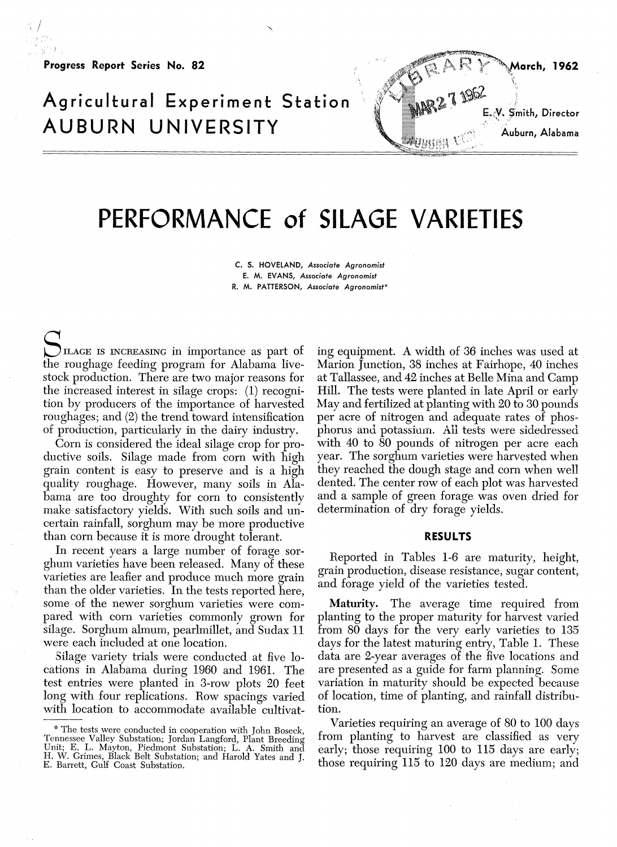**Progress Report Series No. 82**

## **Agricultural Experiment Station AUBURN UNIVERSITY**



## **PERFORMANCE of SILAGE VARIETIES**

**C. S. HOVELAND,** *Associate Agronomist* **E.** M. **EVANS,** Associate Agronomist R. M. PATTERSON, Associate Agronomist\*

ILAGE IS INCREASING in importance as part of the roughage feeding program for Alabama livestock production. There are two major reasons for the increased interest in silage crops: (1) recognition **by** producers of the importance of harvested roughages; and  $(2)$  the trend toward intensification of production, particularly in the dairy industry.

Corn is considered the ideal silage crop for productive soils. Silage made from corn with high grain content is easy to preserve and is a high quality roughage. However, many soils in Alabama are too droughty for corn to consistently make satisfactory yields. With such soils and uncertain rainfall, sorghum may be more productive than corn because it is more drought tolerant.

In recent years a large number of forage sorghum varieties have been released. Many of these varieties are leafier and produce much more grain than the older varieties. In the tests reported here, some of the newer sorghum varieties were compared with corn varieties commonly grown for silage. Sorghum almum, pearlmillet, and Sudax 11 were each included at one location.

Silage variety trials were conducted at five locations in Alabama during 1960 and 1961. The test entries were planted in 3-row plots 20 feet long with four replications. Row spacings varied with location to accommodate available cultivating equipment. A width of 36 inches was used at Marion Junction, 38 inches at Fairhope, 40 inches at Tallassee, and 42 inches at Belle Mina and Camp Hill. The tests were planted in late April or early May and fertilized at planting with 20 to 30 pounds per acre of nitrogen and adequate rates of phosphorus and potassium. All tests were sidedressed with 40 to 80 pounds of nitrogen per acre each year. The sorghum varieties were harvested when they reached the dough stage and corn when well dented. The center row of each plot was harvested and a sample of green forage was oven dried for determination of dry forage yields.

## **RESULTS**

Reported in Tables 1-6 are maturity, height, grain production, disease resistance, sugar content, and forage yield of the varieties tested.

Maturity. The average time required from planting to the proper maturity for harvest varied from 80 days for the very early varieties to 135 days for the latest maturing entry, Table 1. These data are 2-year averages of the five locations and are presented as a guide for farm planning. Some variation in maturity should be expected because of location, time of planting, and rainfall distribution.

Varieties requiring an average of 80 to 100 days from planting to harvest are classified as very early; those requiring 100 to 115 days are early; those requiring 115 to 120 days are medium; and

<sup>\*</sup> The tests were conducted in cooperation with John Boseck, Tennessee Valley Substation; Jordan Langford, Plant Breeding Unit; E. L. Mayton, Piedmont Substation; L. A. Smith and H. W. Grimes, Black Belt Substation; and Harold Yates and J. E. Barrett, Gulf Coast Substation.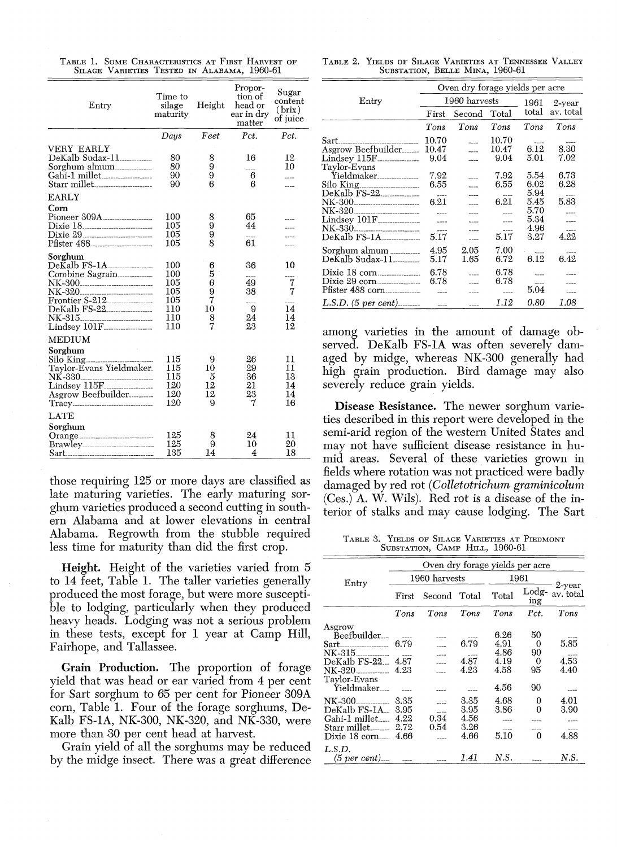| Entry                                                                                                       | $Time\ to$<br>Height<br>silage<br>maturity           |                                       | Propor-<br>tion of<br>head or<br>$\,\mathrm{ear}$ in $\,\mathrm{dry}$<br>matter | Sugar<br>content<br>(brix)<br>of juice |
|-------------------------------------------------------------------------------------------------------------|------------------------------------------------------|---------------------------------------|---------------------------------------------------------------------------------|----------------------------------------|
|                                                                                                             | Days                                                 | Feet                                  | Pct.                                                                            | Pct.                                   |
| VERY EARLY<br>DeKalb Sudax-11<br>Sorghum almum<br>Gahi-1 millet                                             | 80<br>80<br>90<br>90                                 | 8<br>9<br>9<br>6                      | 16<br>----<br>6<br>6                                                            | 12<br>10                               |
| <b>EARLY</b><br>Corn<br>Pioneer 309A<br>Dixie 18.<br>Divie 29                                               | 100<br>105<br>105<br>105                             | 8<br>9<br>9<br>8                      | 65<br>44<br>61                                                                  |                                        |
| Sorghum<br>DeKalb FS-1A<br>Combine Sagrain<br>NK-320<br>Frontier S-212<br>DeKalb FS-22                      | 100<br>100<br>105<br>105<br>105<br>110<br>110<br>110 | 6<br>5<br>6<br>9<br>7<br>10<br>8<br>7 | 36<br>----<br>49<br>38<br><br>9<br>24<br>23                                     | 10<br>$\frac{7}{7}$<br>14<br>14<br>12  |
| MEDIUM<br>Sorghum<br>NK-330.<br>----------------------------<br>Lindsey 115F<br>Asgrow Beefbuilder<br>Tracy | 115<br>115<br>115<br>120<br>120<br>120               | 9<br>10<br>5<br>12<br>12<br>9         | 26<br>29<br>36<br>21<br>23<br>7                                                 | 11<br>11<br>13<br>14<br>14<br>16       |
| LATE<br>Sorghum                                                                                             | 125<br>125<br>135                                    | 8<br>9<br>14                          | 24<br>10<br>4                                                                   | 11<br>20<br>18                         |

TABLE 1. SOME CHARACTERISTICS AT FIRST HARVEST OF SILAGE VARIETIES TESTED IN ALABAMA, 1960-61

those requiring 125 or more days are classified as late maturing varieties. The early maturing sorghum varieties produced a second cutting in southern Alabama and at lower elevations in central Alabama. Regrowth from the stubble required less time for maturity than did the first crop.

**Height.** Height of the varieties varied from 5 to 14 feet, Table 1. The taller varieties generally produced the most forage, but were more susceptible to lodging, particularly when they produced heavy heads. Lodging was not a serious problem in these tests, except for 1 year at Camp Hill, Fairhope, and Tallassee.

Grain Production. The proportion of forage yield that was head or ear varied from 4 per cent for Sart sorghum to 65 per cent for Pioneer 309A corn, Table 1. Four of the forage sorghums, De-Kalb FS-1A, NK-300, NK-320, and NK-330, were more than 30 per cent head at harvest.

Grain yield of all the sorghums may be reduced by the midge insect. There was a great difference

| TABLE 2. YIELDS OF SILAGE VARIETIES AT TENNESSEE VALLEY |  |  |
|---------------------------------------------------------|--|--|
| SUBSTATION, BELLE MINA, 1960-61                         |  |  |

|                                              | Oven dry forage yields per acre |               |       |           |                   |  |  |  |
|----------------------------------------------|---------------------------------|---------------|-------|-----------|-------------------|--|--|--|
| Entry                                        |                                 | 1960 harvests | 1961  | $2$ -year |                   |  |  |  |
|                                              | First                           | Second        | Total | total     | av. total         |  |  |  |
|                                              | Tons                            | Tons          | Tons  | Tons      | Tons              |  |  |  |
| 10.70<br>$\operatorname{Sart}$ .             |                                 |               | 10.70 | ----      |                   |  |  |  |
| Asgrow Beefbuilder 10.47                     |                                 |               | 10.47 | 6.12      | 8.30              |  |  |  |
|                                              | 9.04                            |               | 9.04  | 5.01      | 7.02              |  |  |  |
| Tavlor-Evans                                 |                                 |               |       |           |                   |  |  |  |
| Yieldmaker                                   | 7.92                            |               | 7.92  | 5.54      | 6.73              |  |  |  |
| Silo King                                    | 6.55                            |               | 6.55  | 6.02      | 6.28              |  |  |  |
|                                              |                                 |               |       | 5.94      | <b>March 1979</b> |  |  |  |
| NK-300 <sub>--------------------------</sub> | 6.21                            |               | 6.21  | 5.45      | 5.83              |  |  |  |
| NK-320                                       |                                 |               |       | 5.70      |                   |  |  |  |
| Lindsey 101F                                 | $\sim$ $\sim$ $\sim$ $\sim$     | ----          | 1.1   | 5.34      |                   |  |  |  |
| NK-330<br>____________________________       |                                 |               | $---$ | 4.96      |                   |  |  |  |
| DeKalb FS-1A                                 | 5.17                            |               | 5.17  | 3.27      | 4.22              |  |  |  |
| Sorghum almum                                | 4.95                            | 2.05          | 7.00  |           |                   |  |  |  |
| DeKalb Sudax-11_______                       | 5.17                            | $1.65\,$      | 6.72  | 6.12      | 6.42              |  |  |  |
|                                              | 6.78                            |               | 6.78  | 5.500     |                   |  |  |  |
| Dixie 29 corn                                | 6.78                            |               | 6.78  | ----      |                   |  |  |  |
|                                              |                                 |               |       | 5.04      |                   |  |  |  |
| $L.S.D.$ (5 per cent)                        | $\sim$ $\sim$                   |               | 1.12  | 0.80      | 1.08              |  |  |  |

among varieties in the amount of damage observed. DeKalb FS-1A was often severely damaged by midge, whereas NK-300 generally had high grain production. Bird damage may also severely reduce grain yields.

Disease Resistance. The newer sorghum varieties described in this report were developed in the semi-arid region of the western United States and may not have sufficient disease resistance in humid areas. Several of these varieties grown in fields where rotation was not practiced were badly damaged by red rot (Colletotrichum graminicolum (Ces.) A. W. Wils). Red rot is a disease of the interior of stalks and may cause lodging. The Sart

TABLE 3. YIELDS OF SILAGE VARIETIES AT PIEDMONT SUBSTATION, CAMP HILL, 1960-61

|                          | Oven dry forage yields per acre |               |      |       |                       |                        |  |  |
|--------------------------|---------------------------------|---------------|------|-------|-----------------------|------------------------|--|--|
| Entry                    |                                 | 1960 harvests |      |       | 1961                  |                        |  |  |
|                          | Second Total<br>First           |               |      | Total | $_{\rm Lodg-}$<br>ing | $2$ -year<br>av. total |  |  |
|                          | Tons                            | Tons          | Tons | Tons  | Pct.                  | $T$ ons                |  |  |
| Asgrow                   |                                 |               |      |       |                       |                        |  |  |
| Beefbuilder              |                                 |               |      | 6.26  | 50                    |                        |  |  |
|                          | 6.79                            |               | 6.79 | 4.91  | 0                     | 5.85                   |  |  |
|                          |                                 |               |      | 4.86  | 90                    |                        |  |  |
| DeKalb FS-22             | 4.87                            |               | 4.87 | 4.19  | 0                     | 4.53                   |  |  |
| $NK-320$                 | 4.23                            |               | 4.23 | 4.58  | 95                    | 4.40                   |  |  |
| Taylor-Evans             |                                 |               |      |       |                       |                        |  |  |
| Yieldmaker               |                                 |               |      | 4.56  | 90                    |                        |  |  |
| NK-300                   | 3.35                            |               | 3.35 | 4.68  | 0                     | 4.01                   |  |  |
| DeKalb FS-1A.            | 3.95                            | ----          | 3.95 | 3.86  | 0                     | 3.90                   |  |  |
| Gahi-1 millet 4.22       |                                 | 0.34          | 4.56 |       |                       |                        |  |  |
| Starr millet             | 2.72                            | 0.54          | 3.26 |       |                       |                        |  |  |
| $Divie 18$ corn $\ldots$ | 4.66                            |               | 4.66 | 5.10  | o                     | 4.88                   |  |  |
|                          |                                 |               |      |       |                       |                        |  |  |
| L.S.D.<br>$(5$ per cent) |                                 | ----          | 1.41 | N.S.  |                       | N.S.                   |  |  |
|                          |                                 |               |      |       |                       |                        |  |  |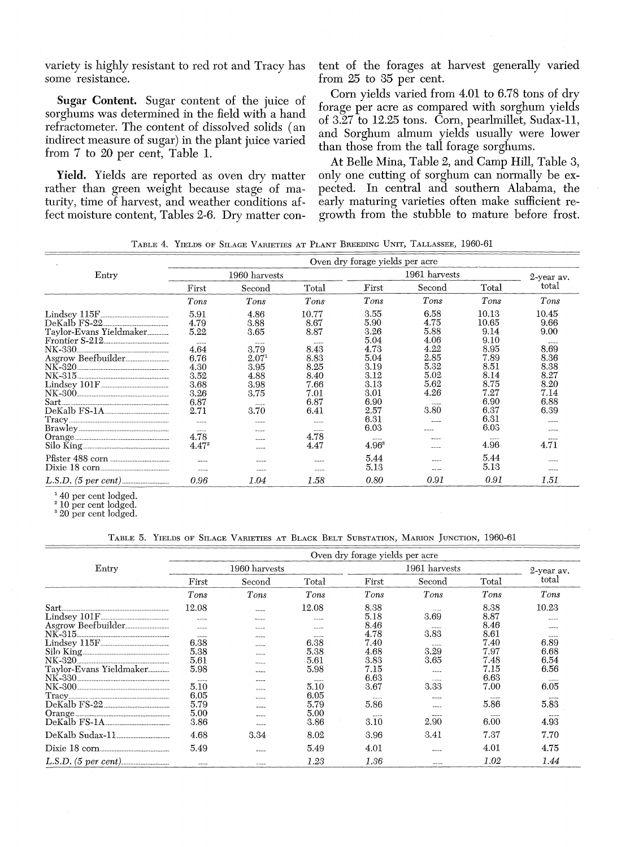variety is **highly** resistant to red rot and Tracy has some resistance.

Sugar **Content.** Sugar content of the juice of sorghums was determined in the field with a hand refractometer. The content of dissolved solids (an indirect measure of sugar) in the plant juice varied from **7** to 20 per cent, Table **1.**

Yield. Yields are reported as oven dry matter rather than green weight because stage of maturity, time of harvest, and weather conditions affect moisture content, Tables **2-6.** Dry matter con-

tent of the forages at harvest generally varied from 25 to **35** per cent.

Corn yields varied from 4.01 to **6.78** tons of dry forage per acre as compared with sorghum yields of **3.27** to **12.25** tons. Corn, pearlmillet, Sudax-li, and Sorghum almum yields usually were lower than those from the tall forage sorghums.

At Belle Mina, Table 2, and Camp Hill, Table **3,** only one cutting **of** sorghum can normally be expected. In central and southern Alabama, the early maturing varieties often make sufficient regrowth from the stubble to mature before frost.

TABLE 4. YIELDS OF SILAGE VARIETIES AT PLANT BREEDING UNIT, TALLASSEE, 1960-61

|                                                                                                                                                                               | Oven dry forage yields per acre                                                                                                              |                                                                                                                         |                                                                                                                                             |                                                                                                                                       |                                                                                      |                                                                                                                                                       |                                                                                                                    |  |
|-------------------------------------------------------------------------------------------------------------------------------------------------------------------------------|----------------------------------------------------------------------------------------------------------------------------------------------|-------------------------------------------------------------------------------------------------------------------------|---------------------------------------------------------------------------------------------------------------------------------------------|---------------------------------------------------------------------------------------------------------------------------------------|--------------------------------------------------------------------------------------|-------------------------------------------------------------------------------------------------------------------------------------------------------|--------------------------------------------------------------------------------------------------------------------|--|
| Entry                                                                                                                                                                         |                                                                                                                                              | 1960 harvests                                                                                                           |                                                                                                                                             |                                                                                                                                       | 1961 harvests                                                                        |                                                                                                                                                       |                                                                                                                    |  |
|                                                                                                                                                                               | First                                                                                                                                        | Second                                                                                                                  | Total                                                                                                                                       | First                                                                                                                                 | Second                                                                               | Total                                                                                                                                                 | 2-year av.<br>total                                                                                                |  |
|                                                                                                                                                                               | Tons                                                                                                                                         | Tons                                                                                                                    | Tons                                                                                                                                        | Tons                                                                                                                                  | Tons                                                                                 | Tons                                                                                                                                                  | Tons                                                                                                               |  |
| $Lindsey 115F$ <sub>--------------------------------</sub><br>DeKalb FS-22<br>Taylor-Evans Yieldmaker<br>Frontier S-212<br>Asgrow Beefbuilder<br>Lindsey 101F<br>DeKalb FS-1A | 5.91<br>4.79<br>5.22<br>$- - - -$<br>4.64<br>6.76<br>4.30<br>3.52<br>3.68<br>3.26<br>6.87<br>2.71<br>$\sim$<br>$- - - -$<br>4.78<br>$4.47^2$ | 4.86<br>3.88<br>3.65<br>$  -$<br>3.79<br>$2.07^{1}$<br>3.95<br>4.88<br>3.98<br>3.75<br>$- - -$<br>3.70<br>-----<br>---- | 10.77<br>8.67<br>8.87<br>$-$<br>8.43<br>8.83<br>8.25<br>8.40<br>7.66<br>7.01<br>6.87<br>6.41<br>----<br><b>Bally Friday</b><br>4.78<br>4.47 | 3.55<br>5.90<br>3.26<br>5.04<br>4.73<br>5.04<br>3.19<br>3.12<br>3.13<br>3.01<br>6.90<br>2.57<br>6.31<br>6.03<br>$-$<br>$4.96^{\circ}$ | 6.58<br>4.75<br>5.88<br>4.06<br>4.22<br>2.85<br>5.32<br>5.02<br>5.62<br>4.26<br>3.80 | 10.13<br>10.65<br>9.14<br>9.10<br>8.95<br>7.89<br>8.51<br>8.14<br>8.75<br>7.27<br>6.90<br>6.37<br>6.31<br>6.03<br>$\sim$ $\sim$ $\sim$ $\sim$<br>4.96 | 10.45<br>9.66<br>9.00<br>----<br>8.69<br>8.36<br>8.38<br>8.27<br>8.20<br>7.14<br>6.88<br>6.39<br>$- - - -$<br>4.71 |  |
| Pfister 488 corn                                                                                                                                                              | $-$                                                                                                                                          | $\overline{\phantom{a}}$<br>----                                                                                        |                                                                                                                                             | 5.44<br>5.13                                                                                                                          | ----<br>$20 - 10$                                                                    | 5.44<br>5.13                                                                                                                                          |                                                                                                                    |  |
| $L.S.D.$ (5 per cent)                                                                                                                                                         | 0.96                                                                                                                                         | 1.04                                                                                                                    | 1.58                                                                                                                                        | 0.80                                                                                                                                  | 0.91                                                                                 | 0.91                                                                                                                                                  | 1.51                                                                                                               |  |

**1 40 per cent** lodged.

**<sup>2</sup>10 per cent** lodged.

**'** 20 **per cent** lodged.

**TABLE 5. YIELDS OF SILAGE VARIETIES AT BLACK BELT SUBSTATION, MARION JUNCTION, 1960-61**

|                                                                                          | Oven dry forage yields per acre                                                                                                                      |                                                    |                                                                                                                                                                                                                                                                                                                                                                                                                                                                                                                                |                                                                      |                                                                 |                                                                      |                                                           |  |
|------------------------------------------------------------------------------------------|------------------------------------------------------------------------------------------------------------------------------------------------------|----------------------------------------------------|--------------------------------------------------------------------------------------------------------------------------------------------------------------------------------------------------------------------------------------------------------------------------------------------------------------------------------------------------------------------------------------------------------------------------------------------------------------------------------------------------------------------------------|----------------------------------------------------------------------|-----------------------------------------------------------------|----------------------------------------------------------------------|-----------------------------------------------------------|--|
| Entry                                                                                    |                                                                                                                                                      | 1960 harvests                                      |                                                                                                                                                                                                                                                                                                                                                                                                                                                                                                                                |                                                                      | 2-year av.                                                      |                                                                      |                                                           |  |
|                                                                                          | First<br>Second                                                                                                                                      |                                                    | Total                                                                                                                                                                                                                                                                                                                                                                                                                                                                                                                          | First                                                                | Second                                                          | Total                                                                | total                                                     |  |
|                                                                                          | Tons                                                                                                                                                 | Tons                                               | Tons                                                                                                                                                                                                                                                                                                                                                                                                                                                                                                                           | Tons                                                                 | Tons                                                            | Tons                                                                 | Tons                                                      |  |
| Sart <sub>-</sub><br>Asgrow Beefbuilder<br>$NK-315$<br>NK-320<br>Taylor-Evans Yieldmaker | 12.08<br>$\sim$<br>-----<br>6.38<br>5.38<br>5.61<br>5.98                                                                                             | $- - - -$<br>----<br>----<br>----<br>-----<br>---- | 12.08<br>$- - -$<br>$\frac{1}{2} \left( \frac{1}{2} \right) \left( \frac{1}{2} \right) \left( \frac{1}{2} \right) \left( \frac{1}{2} \right) \left( \frac{1}{2} \right) \left( \frac{1}{2} \right) \left( \frac{1}{2} \right) \left( \frac{1}{2} \right) \left( \frac{1}{2} \right) \left( \frac{1}{2} \right) \left( \frac{1}{2} \right) \left( \frac{1}{2} \right) \left( \frac{1}{2} \right) \left( \frac{1}{2} \right) \left( \frac{1}{2} \right) \left( \frac{1}{2} \right) \left( \frac$<br>6.38<br>5.38<br>5.61<br>5.98 | 8.38<br>5.18<br>8.46<br>4.78<br>7.40<br>4.68<br>3.83<br>7.15<br>6.63 | $\sim$ $\sim$ $\sim$ $\sim$<br>3.69<br>3.83<br>3.29<br>3.65<br> | 8.38<br>8.87<br>8.46<br>8.61<br>7.40<br>7.97<br>7.48<br>7.15<br>6.63 | 10.23<br>$- - - -$<br>$-$<br>6.89<br>6.68<br>6.54<br>6.56 |  |
| NK-300<br>DeKalb FS-22<br>DeKalb FS-1A                                                   | $\frac{1}{2} \left( \frac{1}{2} \right) \left( \frac{1}{2} \right) = \frac{1}{2} \left( \frac{1}{2} \right)$<br>5.10<br>6.05<br>5.79<br>5.00<br>3.86 | ----<br>----<br>----                               | 5.10<br>6.05<br>5.79<br>5.00<br>3.86                                                                                                                                                                                                                                                                                                                                                                                                                                                                                           | 3.67<br><b>Hart College</b><br>5.86<br><b>CONTRACTOR</b><br>3.10     | 3.33<br>2.90                                                    | 7.00<br>5.86<br>6.00                                                 | 6.05<br>5.83<br>4.93                                      |  |
| DeKalb Sudax-11                                                                          | 4.68<br>5.49                                                                                                                                         | 3.34<br>-----                                      | 8.02<br>5.49                                                                                                                                                                                                                                                                                                                                                                                                                                                                                                                   | 3.96<br>4.01                                                         | 3.41                                                            | 7.37<br>4.01                                                         | 7.70<br>4.75                                              |  |
| $L.S.D.$ (5 per cent)                                                                    |                                                                                                                                                      | ----                                               | 1.23                                                                                                                                                                                                                                                                                                                                                                                                                                                                                                                           | 1.36                                                                 |                                                                 | 1.02                                                                 | 1.44                                                      |  |